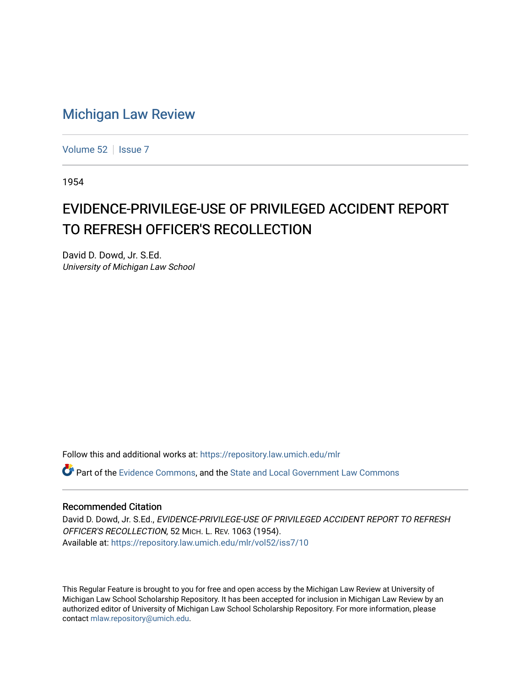## [Michigan Law Review](https://repository.law.umich.edu/mlr)

[Volume 52](https://repository.law.umich.edu/mlr/vol52) | [Issue 7](https://repository.law.umich.edu/mlr/vol52/iss7)

1954

## EVIDENCE-PRIVILEGE-USE OF PRIVILEGED ACCIDENT REPORT TO REFRESH OFFICER'S RECOLLECTION

David D. Dowd, Jr. S.Ed. University of Michigan Law School

Follow this and additional works at: [https://repository.law.umich.edu/mlr](https://repository.law.umich.edu/mlr?utm_source=repository.law.umich.edu%2Fmlr%2Fvol52%2Fiss7%2F10&utm_medium=PDF&utm_campaign=PDFCoverPages) 

Part of the [Evidence Commons,](http://network.bepress.com/hgg/discipline/601?utm_source=repository.law.umich.edu%2Fmlr%2Fvol52%2Fiss7%2F10&utm_medium=PDF&utm_campaign=PDFCoverPages) and the State and Local Government Law Commons

## Recommended Citation

David D. Dowd, Jr. S.Ed., EVIDENCE-PRIVILEGE-USE OF PRIVILEGED ACCIDENT REPORT TO REFRESH OFFICER'S RECOLLECTION, 52 MICH. L. REV. 1063 (1954). Available at: [https://repository.law.umich.edu/mlr/vol52/iss7/10](https://repository.law.umich.edu/mlr/vol52/iss7/10?utm_source=repository.law.umich.edu%2Fmlr%2Fvol52%2Fiss7%2F10&utm_medium=PDF&utm_campaign=PDFCoverPages) 

This Regular Feature is brought to you for free and open access by the Michigan Law Review at University of Michigan Law School Scholarship Repository. It has been accepted for inclusion in Michigan Law Review by an authorized editor of University of Michigan Law School Scholarship Repository. For more information, please contact [mlaw.repository@umich.edu](mailto:mlaw.repository@umich.edu).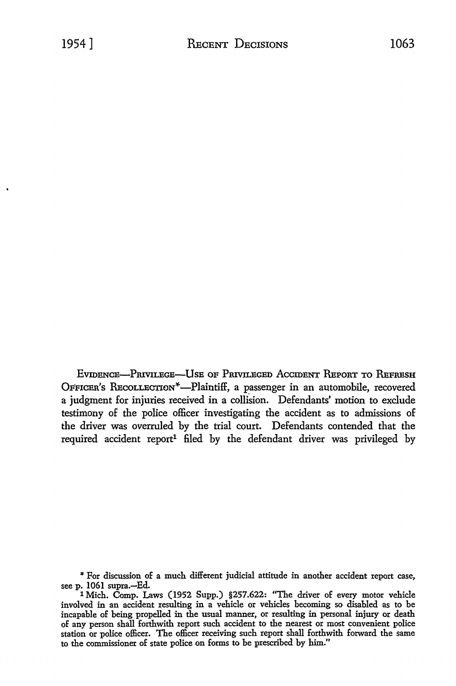EVIDENCE-PRIVILEGE-USE OF PRIVILEGED ACCIDENT REPORT TO REFRESH OFFICER'S RECOLLECTION<sup>\*</sup>-Plaintiff, a passenger in an automobile, recovered a judgment for injuries received in a collision. Defendants' motion to exclude testimony of the police officer investigating the accident as to admissions of the driver was overruled by the trial court. Defendants contended that the required accident report<sup>1</sup> filed by the defendant driver was privileged by

\* For discussion of a much different judicial attitude in another accident report case, see p. 1061 supra.—Ed.

1 Mich. Comp. Laws (1952 Supp.) §257.622: "The driver of every motor vehicle involved in an accident resulting in a vehicle or vehicles becoming so disabled as to be incapable of being propelled in the usual manner, or resulting in personal injury or death of any person shall forthwith report such accident to the nearest or most convenient police station or police officer. The officer receiving such report shall forthwith forward the same to the commissioner of state police on forms to be prescribed by him."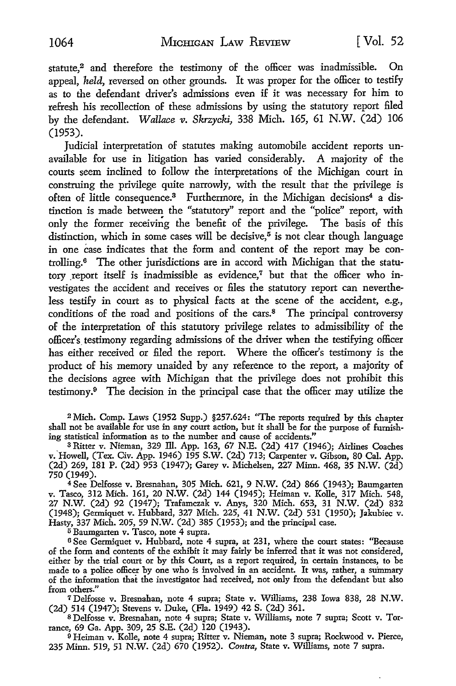statute.<sup>2</sup> and therefore the testimony of the officer was inadmissible. On appeal, *held,* reversed on other grounds. It was proper for the officer to testify as to the defendant driver's admissions even if it was necessary for him to refresh his recollection of these admissions by using the statutory report filed by the defendant. *Wallace v. Skrzycki,* 338 Mich. 165, 61 N.W. (2d) 106 (1953).

Judicial interpretation of statutes making automobile accident reports unavailable for use in litigation has varied considerably. A majority of the courts seem inclined to follow the interpretations of the Michigan court in construing the privilege quite narrowly, with the result that the privilege is often of little consequence.<sup>3</sup> Furthermore, in the Michigan decisions<sup>4</sup> a distinction is made between the "statutory" report and the "police" report, with only the former receiving the benefit of the privilege. The basis of this distinction, which in some cases will be decisive,<sup> $5$ </sup> is not clear though language in one case indicates that the form and content of the report may be controlling. 6 The other jurisdictions are in accord with Michigan that the statutory report itself is inadmissible as evidence, $^7$  but that the officer who investigates the accident and receives or files the statutory report can nevertheless testify *in* court as to physical facts at the scene of the accident, e.g., conditions of the road and positions of the cars.<sup>8</sup> The principal controversy of the interpretation of this statutory privilege relates to admissibility of the officer's. testimony regarding admissions of the driver when the testifying officer has either received or filed the report. Where the officer's testimony is the product of his memory unaided by any reference to the report, a majority of the decisions agree with Michigan that the privilege does not prohibit this testimony.9 The decision in the principal case that the officer may utilize the

<sup>2</sup>Mich. Comp. Laws (1952 Supp.) §257.624: ''The reports required by this chapter shall not be available for use in any court action, but it shall be for the purpose of furnish· ing statistical information as to the number and cause of accidents."

 $3$  Ritter v. Nieman, 329 Ill. App. 163, 67 N.E. (2d) 417 (1946); Airlines Coaches v. Howell, (Tex. Civ. App. 1946) 195 S.W. (2d) 713; Carpenter v. Gibson, 80 Cal. App. (2d) 269, 181 P. (2d) 953 (1947); Garey v. Michelsen, 227 Minn. 468, 35 N.W. (2d) 750 (1949).

<sup>4</sup>See Delfosse v. Bresnahan, 305 Mich. 621, 9 N.W. (2d) 866 (1943); Baumgarten v. Tasco, 312 Mich. 161, 20 N.W. (2d) 144 (1945); Heiman v. Kolle, 317 Mich. 548, 27 N.W. (2d) 92 (1947); Trafamczak v. Anys, 320 Mich. 653, 31 N.W. (2d) 832 (1948); Germiquet v. Hubbard, 327 Mich. 225, 41 N.W. (2d) 531 (1950); Jakubiec v. Hasty, 337 Mich. 205, 59 N.W. (2d) 385 (1953); and the principal case.

<sup>5</sup>Baumgarten v. Tasco, note 4 supra.

<sup>6</sup>See Germiquet v. Hubbard, note 4 supra, at 231, where the court states: "Because of the form and contents of the exhibit it may fairly be inferred that it was not considered, either by the trial court or by this Court, as a report required, in certain instances, to be made to a police officer by one who is involved in an accident. It was, rather, a summary of the information that the investigator had received, not only from the defendant but also from others."

<sup>7</sup>Delfosse v. Bresnahan, note 4 supra; State v. Williams, 238 Iowa 838, 28 N.W. (2d) 514 (1947); Stevens v. Duke, (Fla. 1949) 42 S. (2d) 361.

s Delfosse v. Bresnahan, note 4 supra; State v. Williams, note 7 supra; Scott v. Torrance, 69 Ga. App. 309, 25 S.E. (2d) 120 (1943).

<sup>9</sup>Heiman v. Kolle, note 4 supra; Ritter v. Nieman, note 3 supra; Rockwood v. Pierce, 235 Minn. 519, 51 N.W. (2d) 670 (1952). *Contra,* State v. Williams, note 7 supra.